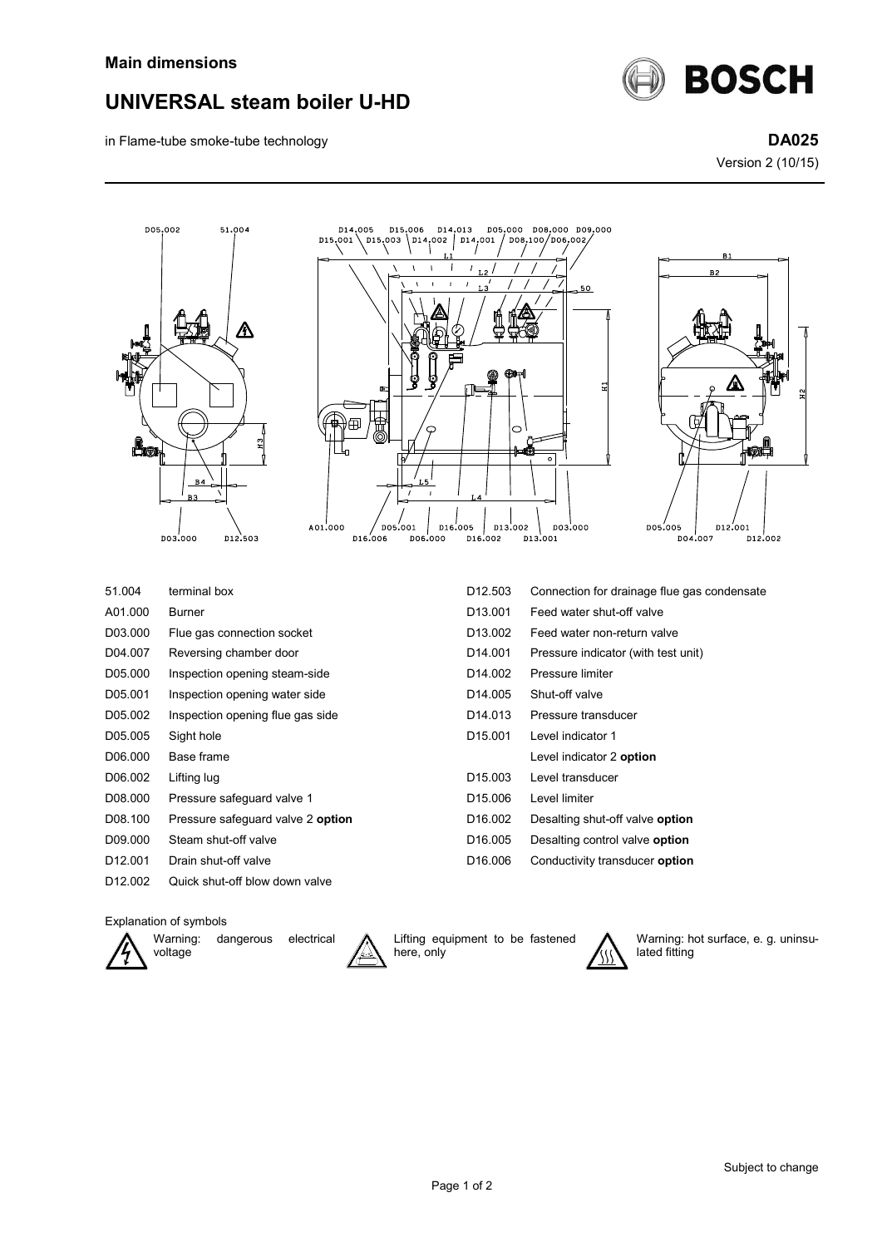

D14,005

D15.006

D14  $.013$ 

in Flame-tube smoke-tube technology **DA025**

Version 2 (10/15)

**BOSCH** 





D05,000 D08,000 D09,000



| 51.004              | terminal box                      | D <sub>12.503</sub> | Connection for drainage flue gas condensate |
|---------------------|-----------------------------------|---------------------|---------------------------------------------|
| A01.000             | Burner                            | D <sub>13.001</sub> | Feed water shut-off valve                   |
| D03.000             | Flue gas connection socket        | D <sub>13.002</sub> | Feed water non-return valve                 |
| D04.007             | Reversing chamber door            | D <sub>14.001</sub> | Pressure indicator (with test unit)         |
| D05.000             | Inspection opening steam-side     | D <sub>14.002</sub> | Pressure limiter                            |
| D05.001             | Inspection opening water side     | D <sub>14.005</sub> | Shut-off valve                              |
| D05.002             | Inspection opening flue gas side  | D <sub>14.013</sub> | Pressure transducer                         |
| D05.005             | Sight hole                        | D <sub>15.001</sub> | Level indicator 1                           |
| D06.000             | Base frame                        |                     | Level indicator 2 option                    |
| D06.002             | Lifting lug                       | D <sub>15.003</sub> | Level transducer                            |
| D08.000             | Pressure safeguard valve 1        | D <sub>15.006</sub> | Level limiter                               |
| D08.100             | Pressure safeguard valve 2 option | D <sub>16.002</sub> | Desalting shut-off valve option             |
| D09.000             | Steam shut-off valve              | D <sub>16.005</sub> | Desalting control valve option              |
| D <sub>12.001</sub> | Drain shut-off valve              | D <sub>16.006</sub> | Conductivity transducer option              |
| D <sub>12.002</sub> | Quick shut-off blow down valve    |                     |                                             |

## Explanation of symbols



Warning: dangerous electrical voltage



Lifting equipment to be fastened here, only



Warning: hot surface, e. g. uninsulated fitting